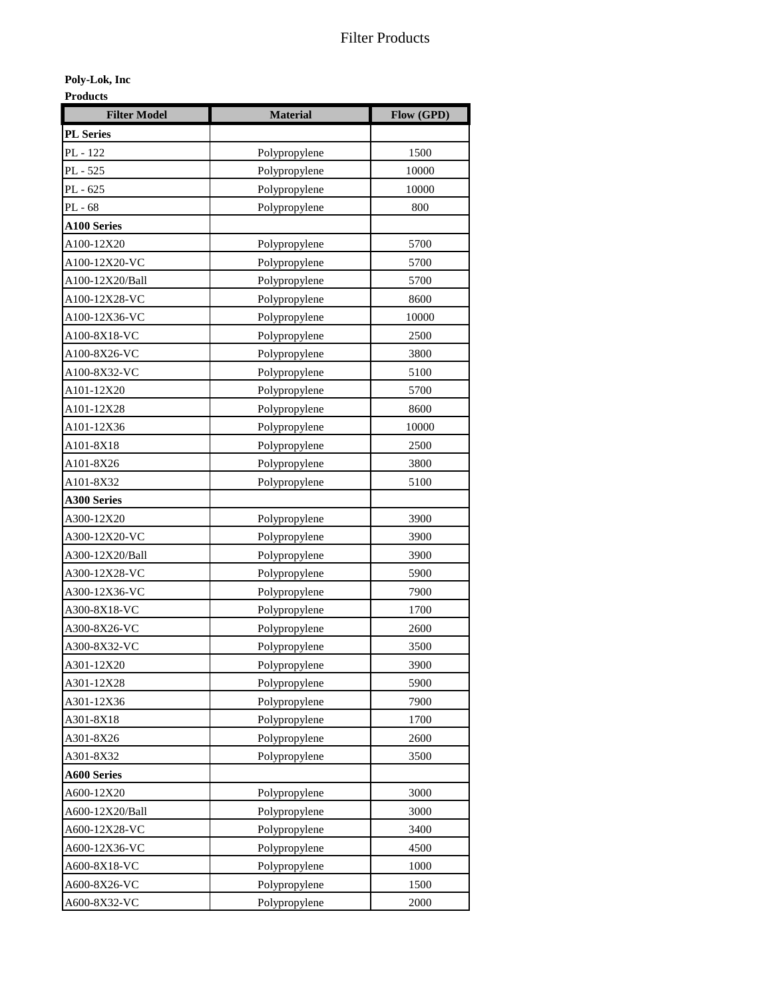**Poly-Lok, Inc**

**Products**

| <b>Filter Model</b> | <b>Material</b> | Flow (GPD) |
|---------------------|-----------------|------------|
| <b>PL</b> Series    |                 |            |
| PL - 122            | Polypropylene   | 1500       |
| PL - 525            | Polypropylene   | 10000      |
| PL - 625            | Polypropylene   | 10000      |
| PL - 68             | Polypropylene   | 800        |
| <b>A100 Series</b>  |                 |            |
| A100-12X20          | Polypropylene   | 5700       |
| A100-12X20-VC       | Polypropylene   | 5700       |
| A100-12X20/Ball     | Polypropylene   | 5700       |
| A100-12X28-VC       | Polypropylene   | 8600       |
| A100-12X36-VC       | Polypropylene   | 10000      |
| A100-8X18-VC        | Polypropylene   | 2500       |
| A100-8X26-VC        | Polypropylene   | 3800       |
| A100-8X32-VC        | Polypropylene   | 5100       |
| A101-12X20          | Polypropylene   | 5700       |
| A101-12X28          | Polypropylene   | 8600       |
| A101-12X36          | Polypropylene   | 10000      |
| A101-8X18           | Polypropylene   | 2500       |
| A101-8X26           | Polypropylene   | 3800       |
| A101-8X32           | Polypropylene   | 5100       |
| <b>A300 Series</b>  |                 |            |
| A300-12X20          | Polypropylene   | 3900       |
| A300-12X20-VC       | Polypropylene   | 3900       |
| A300-12X20/Ball     | Polypropylene   | 3900       |
| A300-12X28-VC       | Polypropylene   | 5900       |
| A300-12X36-VC       | Polypropylene   | 7900       |
| A300-8X18-VC        | Polypropylene   | 1700       |
| A300-8X26-VC        | Polypropylene   | 2600       |
| A300-8X32-VC        | Polypropylene   | 3500       |
| A301-12X20          | Polypropylene   | 3900       |
| A301-12X28          | Polypropylene   | 5900       |
| A301-12X36          | Polypropylene   | 7900       |
| A301-8X18           | Polypropylene   | 1700       |
| A301-8X26           | Polypropylene   | 2600       |
| A301-8X32           | Polypropylene   | 3500       |
| <b>A600 Series</b>  |                 |            |
| A600-12X20          | Polypropylene   | 3000       |
| A600-12X20/Ball     | Polypropylene   | 3000       |
| A600-12X28-VC       | Polypropylene   | 3400       |
| A600-12X36-VC       | Polypropylene   | 4500       |
| A600-8X18-VC        | Polypropylene   | 1000       |
| A600-8X26-VC        | Polypropylene   | 1500       |
| A600-8X32-VC        | Polypropylene   | 2000       |